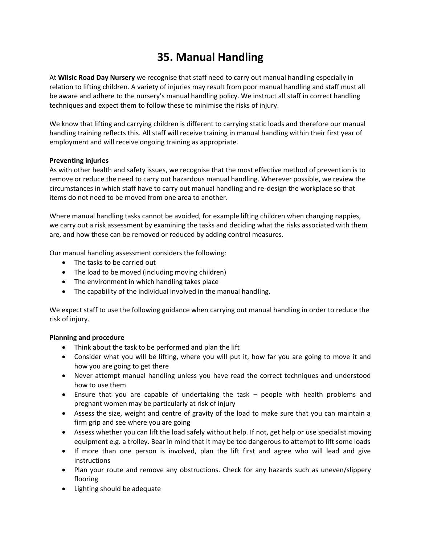# **35. Manual Handling**

At **Wilsic Road Day Nursery** we recognise that staff need to carry out manual handling especially in relation to lifting children. A variety of injuries may result from poor manual handling and staff must all be aware and adhere to the nursery's manual handling policy. We instruct all staff in correct handling techniques and expect them to follow these to minimise the risks of injury.

We know that lifting and carrying children is different to carrying static loads and therefore our manual handling training reflects this. All staff will receive training in manual handling within their first year of employment and will receive ongoing training as appropriate.

## **Preventing injuries**

As with other health and safety issues, we recognise that the most effective method of prevention is to remove or reduce the need to carry out hazardous manual handling. Wherever possible, we review the circumstances in which staff have to carry out manual handling and re-design the workplace so that items do not need to be moved from one area to another.

Where manual handling tasks cannot be avoided, for example lifting children when changing nappies, we carry out a risk assessment by examining the tasks and deciding what the risks associated with them are, and how these can be removed or reduced by adding control measures.

Our manual handling assessment considers the following:

- The tasks to be carried out
- The load to be moved (including moving children)
- The environment in which handling takes place
- The capability of the individual involved in the manual handling.

We expect staff to use the following guidance when carrying out manual handling in order to reduce the risk of injury.

## **Planning and procedure**

- Think about the task to be performed and plan the lift
- Consider what you will be lifting, where you will put it, how far you are going to move it and how you are going to get there
- Never attempt manual handling unless you have read the correct techniques and understood how to use them
- Ensure that you are capable of undertaking the task people with health problems and pregnant women may be particularly at risk of injury
- Assess the size, weight and centre of gravity of the load to make sure that you can maintain a firm grip and see where you are going
- Assess whether you can lift the load safely without help. If not, get help or use specialist moving equipment e.g. a trolley. Bear in mind that it may be too dangerous to attempt to lift some loads
- If more than one person is involved, plan the lift first and agree who will lead and give instructions
- Plan your route and remove any obstructions. Check for any hazards such as uneven/slippery flooring
- Lighting should be adequate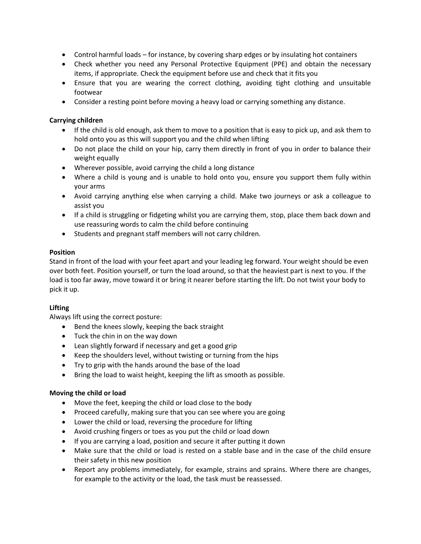- Control harmful loads for instance, by covering sharp edges or by insulating hot containers
- Check whether you need any Personal Protective Equipment (PPE) and obtain the necessary items, if appropriate. Check the equipment before use and check that it fits you
- Ensure that you are wearing the correct clothing, avoiding tight clothing and unsuitable footwear
- Consider a resting point before moving a heavy load or carrying something any distance.

## **Carrying children**

- If the child is old enough, ask them to move to a position that is easy to pick up, and ask them to hold onto you as this will support you and the child when lifting
- Do not place the child on your hip, carry them directly in front of you in order to balance their weight equally
- Wherever possible, avoid carrying the child a long distance
- Where a child is young and is unable to hold onto you, ensure you support them fully within your arms
- Avoid carrying anything else when carrying a child. Make two journeys or ask a colleague to assist you
- If a child is struggling or fidgeting whilst you are carrying them, stop, place them back down and use reassuring words to calm the child before continuing
- Students and pregnant staff members will not carry children.

## **Position**

Stand in front of the load with your feet apart and your leading leg forward. Your weight should be even over both feet. Position yourself, or turn the load around, so that the heaviest part is next to you. If the load is too far away, move toward it or bring it nearer before starting the lift. Do not twist your body to pick it up.

# **Lifting**

Always lift using the correct posture:

- Bend the knees slowly, keeping the back straight
- Tuck the chin in on the way down
- Lean slightly forward if necessary and get a good grip
- Keep the shoulders level, without twisting or turning from the hips
- Try to grip with the hands around the base of the load
- Bring the load to waist height, keeping the lift as smooth as possible.

## **Moving the child or load**

- Move the feet, keeping the child or load close to the body
- Proceed carefully, making sure that you can see where you are going
- Lower the child or load, reversing the procedure for lifting
- Avoid crushing fingers or toes as you put the child or load down
- If you are carrying a load, position and secure it after putting it down
- Make sure that the child or load is rested on a stable base and in the case of the child ensure their safety in this new position
- Report any problems immediately, for example, strains and sprains. Where there are changes, for example to the activity or the load, the task must be reassessed.